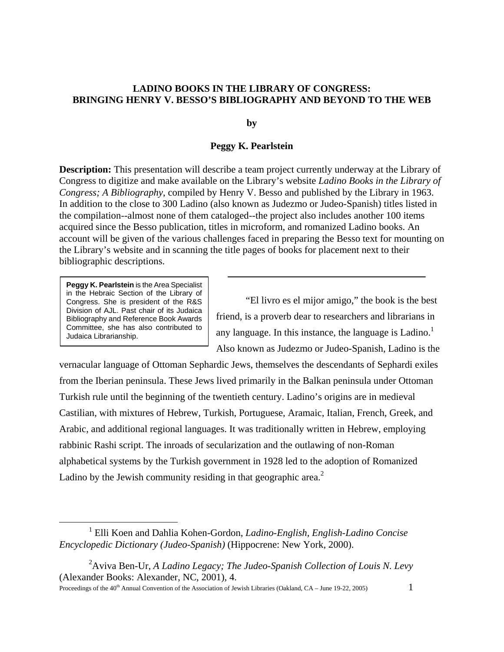## **LADINO BOOKS IN THE LIBRARY OF CONGRESS: BRINGING HENRY V. BESSO'S BIBLIOGRAPHY AND BEYOND TO THE WEB**

**by** 

## **Peggy K. Pearlstein**

**Description:** This presentation will describe a team project currently underway at the Library of Congress to digitize and make available on the Library's website *Ladino Books in the Library of Congress; A Bibliography*, compiled by Henry V. Besso and published by the Library in 1963. In addition to the close to 300 Ladino (also known as Judezmo or Judeo-Spanish) titles listed in the compilation--almost none of them cataloged--the project also includes another 100 items acquired since the Besso publication, titles in microform, and romanized Ladino books. An account will be given of the various challenges faced in preparing the Besso text for mounting on the Library's website and in scanning the title pages of books for placement next to their bibliographic descriptions.

**Peggy K. Pearlstein** is the Area Specialist in the Hebraic Section of the Library of Congress. She is president of the R&S Division of AJL. Past chair of its Judaica Bibliography and Reference Book Awards Committee, she has also contributed to Judaica Librarianship.

"El livro es el mijor amigo," the book is the best friend, is a proverb dear to researchers and librarians in any language. In this instance, the language is Ladino.<sup>[1](#page-0-0)</sup> Also known as Judezmo or Judeo-Spanish, Ladino is the

vernacular language of Ottoman Sephardic Jews, themselves the descendants of Sephardi exiles from the Iberian peninsula. These Jews lived primarily in the Balkan peninsula under Ottoman Turkish rule until the beginning of the twentieth century. Ladino's origins are in medieval Castilian, with mixtures of Hebrew, Turkish, Portuguese, Aramaic, Italian, French, Greek, and Arabic, and additional regional languages. It was traditionally written in Hebrew, employing rabbinic Rashi script. The inroads of secularization and the outlawing of non-Roman alphabetical systems by the Turkish government in 1928 led to the adoption of Romanized Ladino by the Jewish community residing in that geographic area.<sup>2</sup>

Proceedings of the 40<sup>th</sup> Annual Convention of the Association of Jewish Libraries (Oakland, CA – June 19-22, 2005) 1

<span id="page-0-0"></span><sup>&</sup>lt;u>1</u> Elli Koen and Dahlia Kohen-Gordon, *Ladino-English, English-Ladino Concise Encyclopedic Dictionary (Judeo-Spanish)* (Hippocrene: New York, 2000).

<span id="page-0-1"></span><sup>2</sup> Aviva Ben-Ur, *A Ladino Legacy; The Judeo-Spanish Collection of Louis N. Levy* (Alexander Books: Alexander, NC, 2001), 4.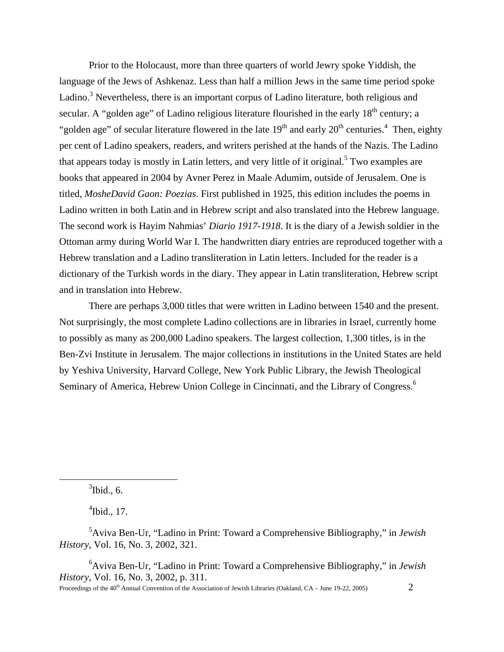Prior to the Holocaust, more than three quarters of world Jewry spoke Yiddish, the language of the Jews of Ashkenaz. Less than half a million Jews in the same time period spoke Ladino.<sup>3</sup> Nevertheless, there is an important corpus of Ladino literature, both religious and secular. A "golden age" of Ladino religious literature flourished in the early  $18<sup>th</sup>$  century; a "golden age" of secular literature flowered in the late  $19<sup>th</sup>$  and early  $20<sup>th</sup>$  centuries.<sup>4</sup> Then, eighty per cent of Ladino speakers, readers, and writers perished at the hands of the Nazis. The Ladino that appears today is mostly in Latin letters, and very little of it original.<sup>[5](#page-1-2)</sup> Two examples are books that appeared in 2004 by Avner Perez in Maale Adumim, outside of Jerusalem. One is titled, *MosheDavid Gaon: Poezias*. First published in 1925, this edition includes the poems in Ladino written in both Latin and in Hebrew script and also translated into the Hebrew language. The second work is Hayim Nahmias' *Diario 1917-1918*. It is the diary of a Jewish soldier in the Ottoman army during World War I. The handwritten diary entries are reproduced together with a Hebrew translation and a Ladino transliteration in Latin letters. Included for the reader is a dictionary of the Turkish words in the diary. They appear in Latin transliteration, Hebrew script and in translation into Hebrew.

There are perhaps 3,000 titles that were written in Ladino between 1540 and the present. Not surprisingly, the most complete Ladino collections are in libraries in Israel, currently home to possibly as many as 200,000 Ladino speakers. The largest collection, 1,300 titles, is in the Ben-Zvi Institute in Jerusalem. The major collections in institutions in the United States are held by Yeshiva University, Harvard College, New York Public Library, the Jewish Theological Seminary of America, Hebrew Union College in Cincinnati, and the Library of Congress.<sup>[6](#page-1-3)</sup>

<span id="page-1-0"></span> $3$ Ibid., 6.

 $\overline{a}$ 

<span id="page-1-2"></span><span id="page-1-1"></span> $\mathrm{4}$ Ibid., 17.

5 Aviva Ben-Ur, "Ladino in Print: Toward a Comprehensive Bibliography," in *Jewish History*, Vol. 16, No. 3, 2002, 321.

<span id="page-1-3"></span>6 Aviva Ben-Ur, "Ladino in Print: Toward a Comprehensive Bibliography," in *Jewish History*, Vol. 16, No. 3, 2002, p. 311.

Proceedings of the 40<sup>th</sup> Annual Convention of the Association of Jewish Libraries (Oakland, CA – June 19-22, 2005) 2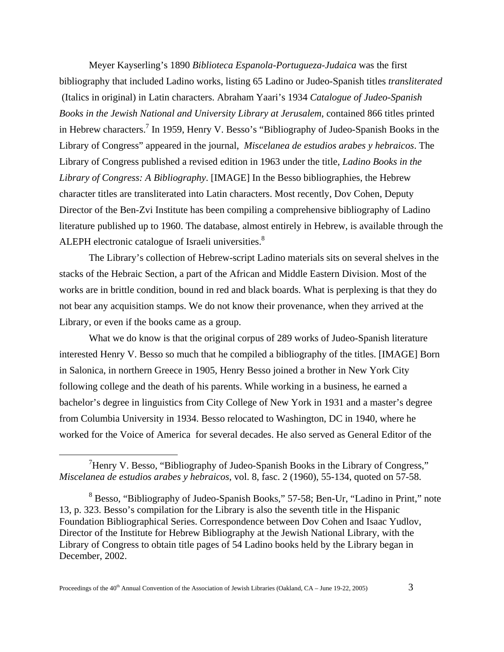Meyer Kayserling's 1890 *Biblioteca Espanola-Portugueza-Judaica* was the first bibliography that included Ladino works, listing 65 Ladino or Judeo-Spanish titles *transliterated* (Italics in original) in Latin characters. Abraham Yaari's 1934 *Catalogue of Judeo-Spanish Books in the Jewish National and University Library at Jerusalem*, contained 866 titles printed in Hebrew characters.<sup>7</sup> In 1959, Henry V. Besso's "Bibliography of Judeo-Spanish Books in the Library of Congress" appeared in the journal, *Miscelanea de estudios arabes y hebraicos*. The Library of Congress published a revised edition in 1963 under the title, *Ladino Books in the Library of Congress: A Bibliography*. [IMAGE] In the Besso bibliographies, the Hebrew character titles are transliterated into Latin characters. Most recently, Dov Cohen, Deputy Director of the Ben-Zvi Institute has been compiling a comprehensive bibliography of Ladino literature published up to 1960. The database, almost entirely in Hebrew, is available through the ALEPH electronic catalogue of Israeli universities.<sup>[8](#page-2-1)</sup>

The Library's collection of Hebrew-script Ladino materials sits on several shelves in the stacks of the Hebraic Section, a part of the African and Middle Eastern Division. Most of the works are in brittle condition, bound in red and black boards. What is perplexing is that they do not bear any acquisition stamps. We do not know their provenance, when they arrived at the Library, or even if the books came as a group.

What we do know is that the original corpus of 289 works of Judeo-Spanish literature interested Henry V. Besso so much that he compiled a bibliography of the titles. [IMAGE] Born in Salonica, in northern Greece in 1905, Henry Besso joined a brother in New York City following college and the death of his parents. While working in a business, he earned a bachelor's degree in linguistics from City College of New York in 1931 and a master's degree from Columbia University in 1934. Besso relocated to Washington, DC in 1940, where he worked for the Voice of America for several decades. He also served as General Editor of the

 $\overline{a}$ 

<span id="page-2-0"></span><sup>&</sup>lt;sup>7</sup> Henry V. Besso, "Bibliography of Judeo-Spanish Books in the Library of Congress," *Miscelanea de estudios arabes y hebraicos*, vol. 8, fasc. 2 (1960), 55-134, quoted on 57-58.

<span id="page-2-1"></span><sup>&</sup>lt;sup>8</sup> Besso, "Bibliography of Judeo-Spanish Books," 57-58; Ben-Ur, "Ladino in Print," note 13, p. 323. Besso's compilation for the Library is also the seventh title in the Hispanic Foundation Bibliographical Series. Correspondence between Dov Cohen and Isaac Yudlov, Director of the Institute for Hebrew Bibliography at the Jewish National Library, with the Library of Congress to obtain title pages of 54 Ladino books held by the Library began in December, 2002.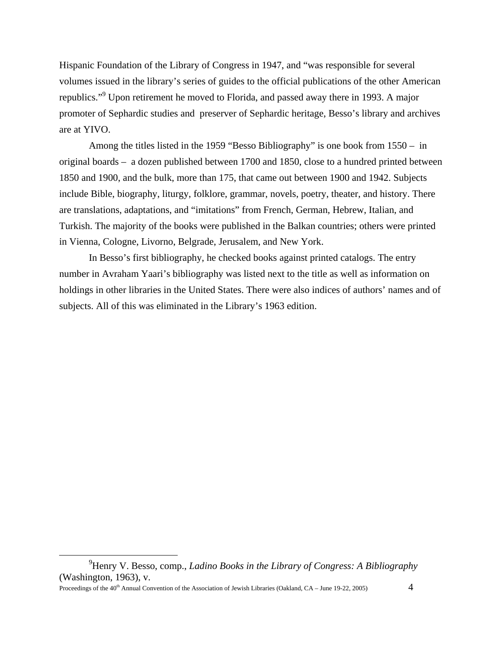Hispanic Foundation of the Library of Congress in 1947, and "was responsible for several volumes issued in the library's series of guides to the official publications of the other American republics."<sup>[9](#page-3-0)</sup> Upon retirement he moved to Florida, and passed away there in 1993. A major promoter of Sephardic studies and preserver of Sephardic heritage, Besso's library and archives are at YIVO.

Among the titles listed in the 1959 "Besso Bibliography" is one book from 1550 – in original boards – a dozen published between 1700 and 1850, close to a hundred printed between 1850 and 1900, and the bulk, more than 175, that came out between 1900 and 1942. Subjects include Bible, biography, liturgy, folklore, grammar, novels, poetry, theater, and history. There are translations, adaptations, and "imitations" from French, German, Hebrew, Italian, and Turkish. The majority of the books were published in the Balkan countries; others were printed in Vienna, Cologne, Livorno, Belgrade, Jerusalem, and New York.

In Besso's first bibliography, he checked books against printed catalogs. The entry number in Avraham Yaari's bibliography was listed next to the title as well as information on holdings in other libraries in the United States. There were also indices of authors' names and of subjects. All of this was eliminated in the Library's 1963 edition.

1

<span id="page-3-0"></span><sup>9</sup> Henry V. Besso, comp., *Ladino Books in the Library of Congress: A Bibliography* (Washington, 1963), v.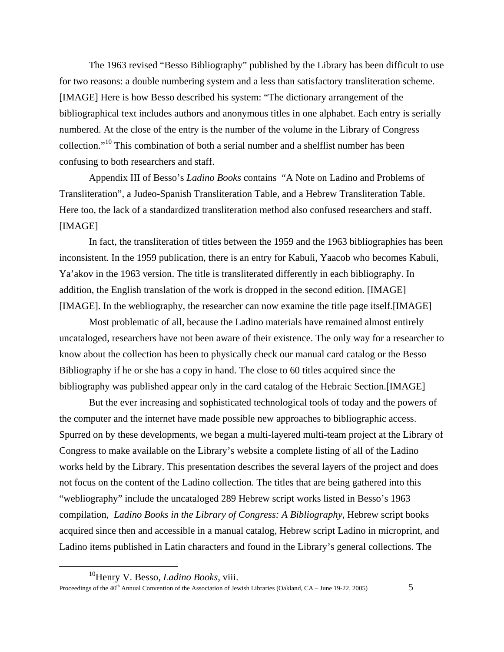The 1963 revised "Besso Bibliography" published by the Library has been difficult to use for two reasons: a double numbering system and a less than satisfactory transliteration scheme. [IMAGE] Here is how Besso described his system: "The dictionary arrangement of the bibliographical text includes authors and anonymous titles in one alphabet. Each entry is serially numbered. At the close of the entry is the number of the volume in the Library of Congress collection."<sup>10</sup> This combination of both a serial number and a shelflist number has been confusing to both researchers and staff.

Appendix III of Besso's *Ladino Books* contains "A Note on Ladino and Problems of Transliteration", a Judeo-Spanish Transliteration Table, and a Hebrew Transliteration Table. Here too, the lack of a standardized transliteration method also confused researchers and staff. [IMAGE]

In fact, the transliteration of titles between the 1959 and the 1963 bibliographies has been inconsistent. In the 1959 publication, there is an entry for Kabuli, Yaacob who becomes Kabuli, Ya'akov in the 1963 version. The title is transliterated differently in each bibliography. In addition, the English translation of the work is dropped in the second edition. [IMAGE] [IMAGE]. In the webliography, the researcher can now examine the title page itself.[IMAGE]

Most problematic of all, because the Ladino materials have remained almost entirely uncataloged, researchers have not been aware of their existence. The only way for a researcher to know about the collection has been to physically check our manual card catalog or the Besso Bibliography if he or she has a copy in hand. The close to 60 titles acquired since the bibliography was published appear only in the card catalog of the Hebraic Section.[IMAGE]

 But the ever increasing and sophisticated technological tools of today and the powers of the computer and the internet have made possible new approaches to bibliographic access. Spurred on by these developments, we began a multi-layered multi-team project at the Library of Congress to make available on the Library's website a complete listing of all of the Ladino works held by the Library. This presentation describes the several layers of the project and does not focus on the content of the Ladino collection. The titles that are being gathered into this "webliography" include the uncataloged 289 Hebrew script works listed in Besso's 1963 compilation, *Ladino Books in the Library of Congress: A Bibliography*, Hebrew script books acquired since then and accessible in a manual catalog, Hebrew script Ladino in microprint, and Ladino items published in Latin characters and found in the Library's general collections. The

1

Proceedings of the 40<sup>th</sup> Annual Convention of the Association of Jewish Libraries (Oakland, CA – June 19-22, 2005) 5

<span id="page-4-0"></span><sup>10</sup>Henry V. Besso, *Ladino Books*, viii.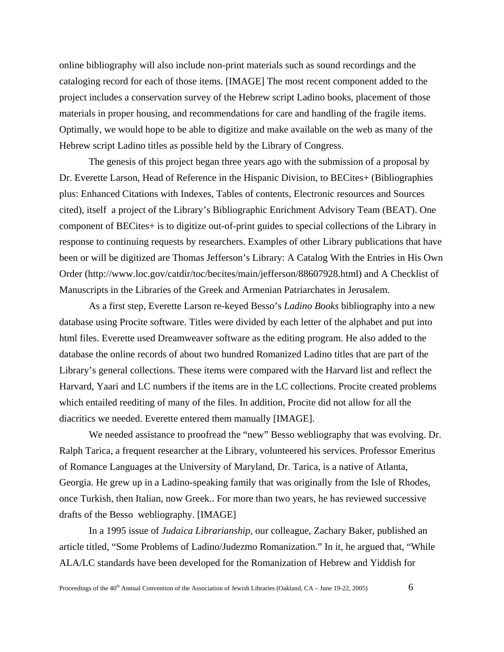online bibliography will also include non-print materials such as sound recordings and the cataloging record for each of those items. [IMAGE] The most recent component added to the project includes a conservation survey of the Hebrew script Ladino books, placement of those materials in proper housing, and recommendations for care and handling of the fragile items. Optimally, we would hope to be able to digitize and make available on the web as many of the Hebrew script Ladino titles as possible held by the Library of Congress.

The genesis of this project began three years ago with the submission of a proposal by Dr. Everette Larson, Head of Reference in the Hispanic Division, to BECites+ (Bibliographies plus: Enhanced Citations with Indexes, Tables of contents, Electronic resources and Sources cited), itself a project of the Library's Bibliographic Enrichment Advisory Team (BEAT). One component of BECites+ is to digitize out-of-print guides to special collections of the Library in response to continuing requests by researchers. Examples of other Library publications that have been or will be digitized are Thomas Jefferson's Library: A Catalog With the Entries in His Own Order (http://www.loc.gov/catdir/toc/becites/main/jefferson/88607928.html) and A Checklist of Manuscripts in the Libraries of the Greek and Armenian Patriarchates in Jerusalem.

As a first step, Everette Larson re-keyed Besso's *Ladino Books* bibliography into a new database using Procite software. Titles were divided by each letter of the alphabet and put into html files. Everette used Dreamweaver software as the editing program. He also added to the database the online records of about two hundred Romanized Ladino titles that are part of the Library's general collections. These items were compared with the Harvard list and reflect the Harvard, Yaari and LC numbers if the items are in the LC collections. Procite created problems which entailed reediting of many of the files. In addition, Procite did not allow for all the diacritics we needed. Everette entered them manually [IMAGE].

We needed assistance to proofread the "new" Besso webliography that was evolving. Dr. Ralph Tarica, a frequent researcher at the Library, volunteered his services. Professor Emeritus of Romance Languages at the University of Maryland, Dr. Tarica, is a native of Atlanta, Georgia. He grew up in a Ladino-speaking family that was originally from the Isle of Rhodes, once Turkish, then Italian, now Greek.. For more than two years, he has reviewed successive drafts of the Besso webliography. [IMAGE]

In a 1995 issue of *Judaica Librarianship*, our colleague, Zachary Baker, published an article titled, "Some Problems of Ladino/Judezmo Romanization." In it, he argued that, "While ALA/LC standards have been developed for the Romanization of Hebrew and Yiddish for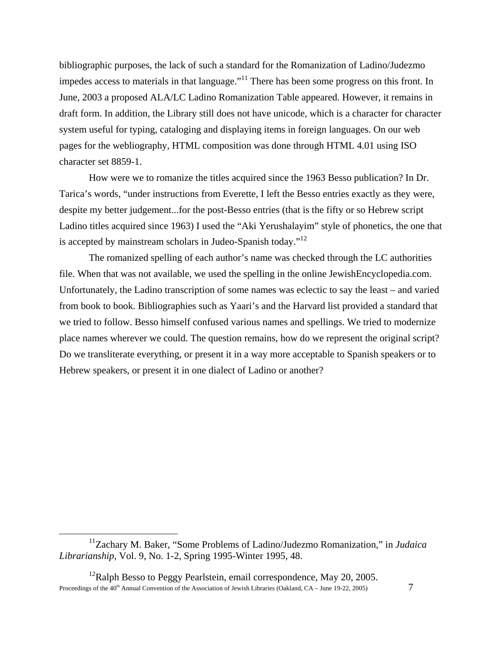bibliographic purposes, the lack of such a standard for the Romanization of Ladino/Judezmo impedes access to materials in that language."<sup>11</sup> There has been some progress on this front. In June, 2003 a proposed ALA/LC Ladino Romanization Table appeared. However, it remains in draft form. In addition, the Library still does not have unicode, which is a character for character system useful for typing, cataloging and displaying items in foreign languages. On our web pages for the webliography, HTML composition was done through HTML 4.01 using ISO character set 8859-1.

How were we to romanize the titles acquired since the 1963 Besso publication? In Dr. Tarica's words, "under instructions from Everette, I left the Besso entries exactly as they were, despite my better judgement...for the post-Besso entries (that is the fifty or so Hebrew script Ladino titles acquired since 1963) I used the "Aki Yerushalayim" style of phonetics, the one that is accepted by mainstream scholars in Judeo-Spanish today."<sup>12</sup>

The romanized spelling of each author's name was checked through the LC authorities file. When that was not available, we used the spelling in the online JewishEncyclopedia.com. Unfortunately, the Ladino transcription of some names was eclectic to say the least – and varied from book to book. Bibliographies such as Yaari's and the Harvard list provided a standard that we tried to follow. Besso himself confused various names and spellings. We tried to modernize place names wherever we could. The question remains, how do we represent the original script? Do we transliterate everything, or present it in a way more acceptable to Spanish speakers or to Hebrew speakers, or present it in one dialect of Ladino or another?

<span id="page-6-0"></span><u>.</u>

<sup>11</sup>Zachary M. Baker, "Some Problems of Ladino/Judezmo Romanization," in *Judaica Librarianship*, Vol. 9, No. 1-2, Spring 1995-Winter 1995, 48.

<span id="page-6-1"></span>Proceedings of the 40<sup>th</sup> Annual Convention of the Association of Jewish Libraries (Oakland, CA – June 19-22, 2005) 7 <sup>12</sup>Ralph Besso to Peggy Pearlstein, email correspondence, May 20, 2005.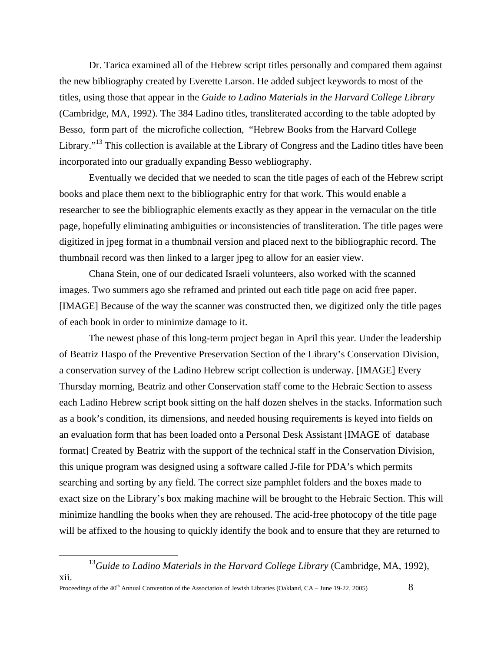Dr. Tarica examined all of the Hebrew script titles personally and compared them against the new bibliography created by Everette Larson. He added subject keywords to most of the titles, using those that appear in the *Guide to Ladino Materials in the Harvard College Library* (Cambridge, MA, 1992). The 384 Ladino titles, transliterated according to the table adopted by Besso, form part of the microfiche collection, "Hebrew Books from the Harvard College Library."<sup>13</sup> This collection is available at the Library of Congress and the Ladino titles have been incorporated into our gradually expanding Besso webliography.

Eventually we decided that we needed to scan the title pages of each of the Hebrew script books and place them next to the bibliographic entry for that work. This would enable a researcher to see the bibliographic elements exactly as they appear in the vernacular on the title page, hopefully eliminating ambiguities or inconsistencies of transliteration. The title pages were digitized in jpeg format in a thumbnail version and placed next to the bibliographic record. The thumbnail record was then linked to a larger jpeg to allow for an easier view.

Chana Stein, one of our dedicated Israeli volunteers, also worked with the scanned images. Two summers ago she reframed and printed out each title page on acid free paper. [IMAGE] Because of the way the scanner was constructed then, we digitized only the title pages of each book in order to minimize damage to it.

The newest phase of this long-term project began in April this year. Under the leadership of Beatriz Haspo of the Preventive Preservation Section of the Library's Conservation Division, a conservation survey of the Ladino Hebrew script collection is underway. [IMAGE] Every Thursday morning, Beatriz and other Conservation staff come to the Hebraic Section to assess each Ladino Hebrew script book sitting on the half dozen shelves in the stacks. Information such as a book's condition, its dimensions, and needed housing requirements is keyed into fields on an evaluation form that has been loaded onto a Personal Desk Assistant [IMAGE of database format] Created by Beatriz with the support of the technical staff in the Conservation Division, this unique program was designed using a software called J-file for PDA's which permits searching and sorting by any field. The correct size pamphlet folders and the boxes made to exact size on the Library's box making machine will be brought to the Hebraic Section. This will minimize handling the books when they are rehoused. The acid-free photocopy of the title page will be affixed to the housing to quickly identify the book and to ensure that they are returned to

<span id="page-7-0"></span> $\overline{a}$ 

<sup>&</sup>lt;sup>13</sup>Guide to Ladino Materials in the Harvard College Library (Cambridge, MA, 1992), xii.